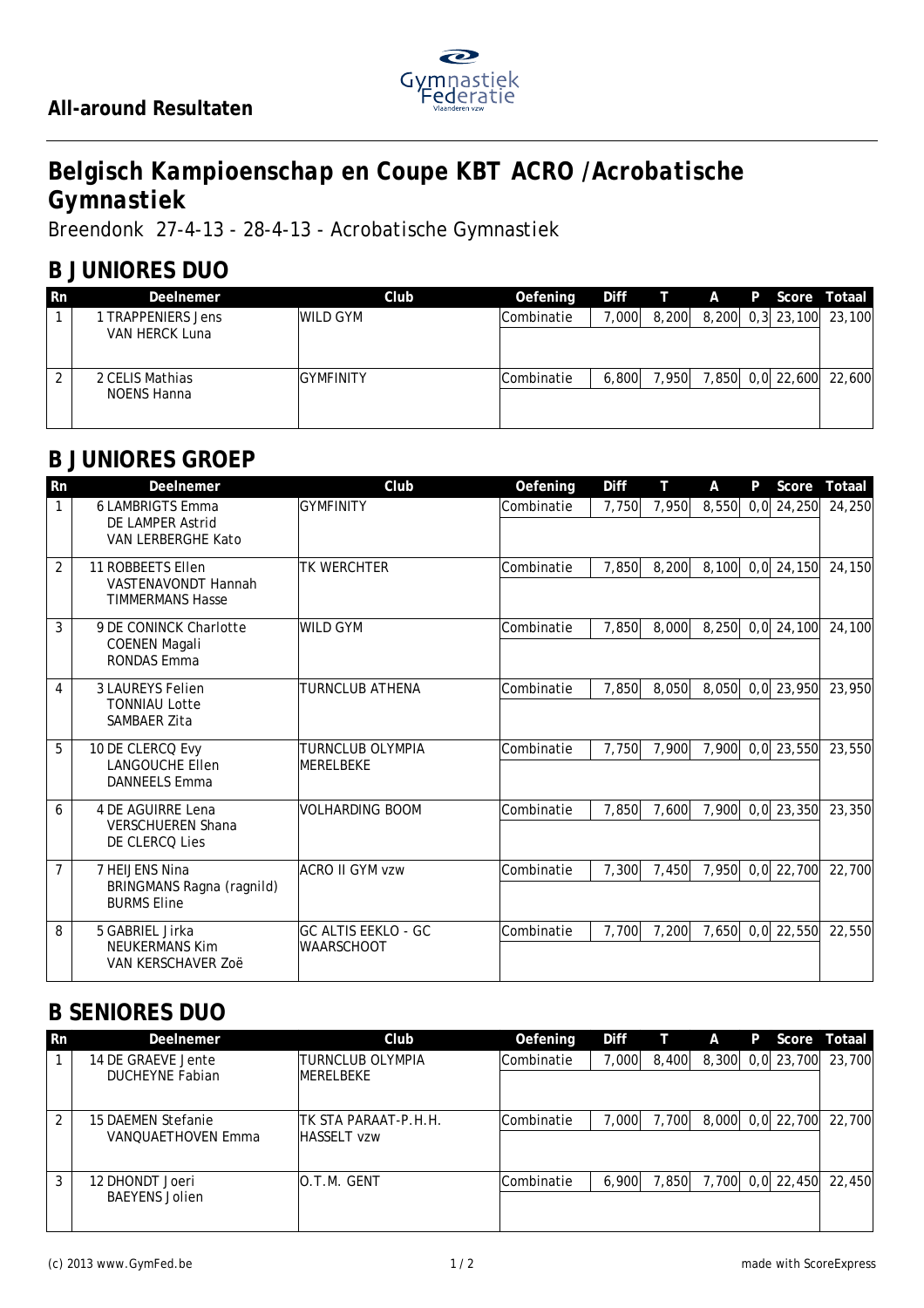

# *Belgisch Kampioenschap en Coupe KBT ACRO /Acrobatische Gymnastiek*

*Breendonk 27-4-13 - 28-4-13 - Acrobatische Gymnastiek*

### **B JUNIORES DUO**

| -Rn    | Deelnemer                                 | Club            | Oefening   |       |       |  | Diff T A P Score Totaal |
|--------|-------------------------------------------|-----------------|------------|-------|-------|--|-------------------------|
|        | <b>TRAPPENIERS Jens</b><br>VAN HERCK Luna | <b>WILD GYM</b> | Combinatie | 1,000 | 8,200 |  | 8,200 0,3 23,100 23,100 |
| $\sim$ | 2 CELIS Mathias<br>NOENS Hanna            | IGYMFINITY      | Combinatie | 6.800 | 7.950 |  | 7,850 0,0 22,600 22,600 |

#### **B JUNIORES GROEP**

| Rn             | Deelnemer                                                           | Club                                            | Oefening   | Diff  | т     | Α     | P   | Score            | Totaal |
|----------------|---------------------------------------------------------------------|-------------------------------------------------|------------|-------|-------|-------|-----|------------------|--------|
| 1              | <b>6 LAMBRIGTS Emma</b><br>DE LAMPER Astrid<br>VAN LERBERGHE Kato   | <b>GYMFINITY</b>                                | Combinatie | 7,750 | 7,950 | 8,550 | 0.0 | 24,250           | 24,250 |
| $\overline{2}$ | 11 ROBBEETS Ellen<br>VASTENAVONDT Hannah<br><b>TIMMERMANS Hasse</b> | <b>TK WERCHTER</b>                              | Combinatie | 7,850 | 8,200 | 8,100 |     | $0,0$ 24,150     | 24,150 |
| 3              | 9 DE CONINCK Charlotte<br><b>COENEN Magali</b><br>RONDAS Emma       | <b>WILD GYM</b>                                 | Combinatie | 7,850 | 8,000 | 8,250 | 0.0 | 24,100           | 24,100 |
| 4              | <b>3 LAUREYS Felien</b><br><b>TONNIAU Lotte</b><br>SAMBAER Zita     | TURNCLUB ATHENA                                 | Combinatie | 7,850 | 8,050 | 8,050 |     | $0,0$ 23,950     | 23,950 |
| 5              | 10 DE CLERCQ Evy<br><b>LANGOUCHE Ellen</b><br><b>DANNEELS Emma</b>  | TURNCLUB OLYMPIA<br><b>IMERELBEKE</b>           | Combinatie | 7,750 | 7,900 | 7,900 |     | $0,0$ 23,550     | 23,550 |
| 6              | 4 DE AGUIRRE Lena<br><b>VERSCHUEREN Shana</b><br>DE CLERCO Lies     | <b>VOLHARDING BOOM</b>                          | Combinatie | 7,850 | 7,600 | 7,900 |     | $0,0$ 23,350     | 23,350 |
| $\overline{7}$ | 7 HEIJENS Nina<br>BRINGMANS Ragna (ragnild)<br><b>BURMS Eline</b>   | ACRO II GYM vzw                                 | Combinatie | 7,300 | 7,450 | 7,950 |     | $0,0$ 22,700     | 22,700 |
| 8              | 5 GABRIEL Jirka<br>NEUKERMANS Kim<br>VAN KERSCHAVER ZOË             | <b>GC ALTIS EEKLO - GC</b><br><b>WAARSCHOOT</b> | Combinatie | 7,700 | 7,200 |       |     | 7,650 0,0 22,550 | 22,550 |

## **B SENIORES DUO**

| -Rn | Deelnemer                                    | Club                                   | Oefening   | Diff   |       | A | P | Score            | Totaal |
|-----|----------------------------------------------|----------------------------------------|------------|--------|-------|---|---|------------------|--------|
|     | 14 DE GRAEVE Jente<br><b>DUCHEYNE Fabian</b> | ITURNCLUB OLYMPIA<br><b>IMERELBEKE</b> | Combinatie | 7,000  | 8,400 |   |   | 8,300 0,0 23,700 | 23,700 |
|     |                                              |                                        |            |        |       |   |   |                  |        |
| 2   | 15 DAEMEN Stefanie                           | ITK STA PARAAT-P.H.H.                  | Combinatie | 000. ' | 7.700 |   |   | 8,000 0,0 22,700 | 22.700 |
|     | VANOUAETHOVEN Emma                           | <b>HASSELT vzw</b>                     |            |        |       |   |   |                  |        |
| 3   | 12 DHONDT Joeri                              | O.T.M. GENT                            | Combinatie | 6,900  | 7,850 |   |   | 7,700 0,0 22,450 | 22,450 |
|     | <b>BAEYENS Jolien</b>                        |                                        |            |        |       |   |   |                  |        |